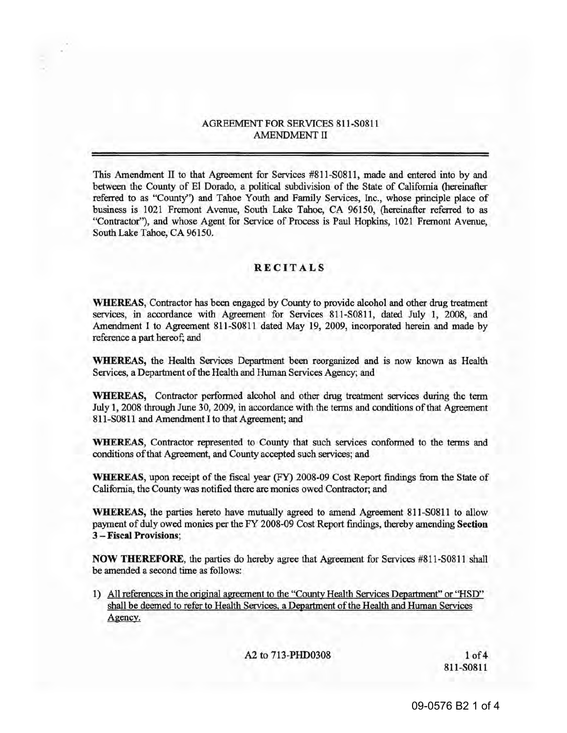# AGREEMENT FOR SERVICES 811-S0811 AMENDMENT II

This Amendment II to that Agreement for Services #811-S0811, made and entered into by and between the County of El Dorado, a political subdivision of the State of California (hereinafter referred to as "County") and Tahoe Youth and Family Services, Inc., whose principle place of business is 1021 Fremont Avenue, South Lake Tahoe, CA 96150, (hereinafter referred to as "Contractor"), and whose Agent for Service of Process is Paul Hopkins, 1021 Fremont Avenue, South Lake Tahoe, CA 96150.

## RECITALS

WHEREAS, Contractor has been engaged by County to provide alcohol and other drug treatment services, in accordance with Agreement for Services 811-S0811, dated July 1, 2008, and Amendment I to Agreement 811-S0811 dated May 19, 2009, incorporated herein and made by reference a part hereof; and

WHEREAS, the Health Services Department been reorganized and is now known as Health Services, a Department of the Health and Human Services Agency; and

WHEREAS, Contractor performed alcohol and other drug treatment services during the term July 1, 2008 through June 30, 2009, in accordance with the terms and conditions of that Agreement 811-S0811 and Amendment I to that Agreement; and

WHEREAS, Contractor represented to County that such services conformed to the terms and conditions of that Agreement, and County accepted such services; and

WHEREAS, upon receipt of the fiscal year (FY) 2008-09 Cost Report findings from the State of California, the County was notified there are monies owed Contractor; and

WHEREAS, the parties hereto have mutually agreed to amend Agreement 811-S0811 to allow payment of duly owed monies per the FY 2008-09 Cost Report findings, thereby amending Section 3 - Fiscal Provisions;

NOW THEREFORE, the parties do hereby agree that Agreement for Services #811-S0811 shall be amended a second time as follows:

1) All references in the original agreement to the "County Health Services Deoartment" or "HSD" shall be deemed to refer to Health Services. a Department of the Health and Human Services Agency.

A2 to 713-PHD0308 1 of 4

811-S0811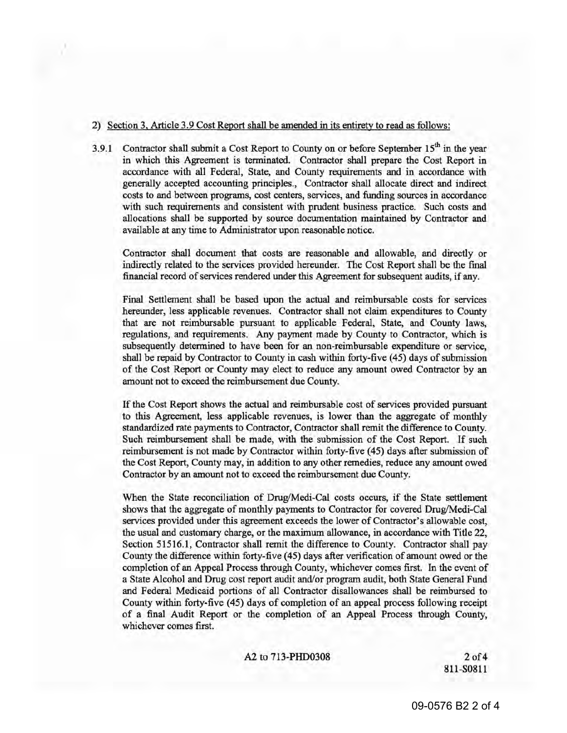## 2) Section 3. Article 3.9 Cost Report shall be amended in its entirety to read as follows:

3.9.1 Contractor shall submit a Cost Report to County on or before September  $15<sup>th</sup>$  in the year in which this Agreement is terminated. Contractor shall prepare the Cost Report in accordance with all Federal, State, and County requirements and in accordance with generally accepted accounting principles., Contractor shall allocate direct and indirect costs to and between programs, cost centers, services, and funding sources in accordance with such requirements and consistent with prudent business practice. Such costs and allocations shall be supported by source documentation maintained by Contractor and available at any time to Administrator upon reasonable notice.

Contractor shall document that costs are reasonable and allowable, and directly or indirectly related to the services provided hereunder. The Cost Report shall be the final financial record of services rendered under this Agreement for subsequent audits, if any.

Final Settlement shall be based upon the actual and reimbursable costs for services hereunder, less applicable revenues. Contractor shall not claim expenditures to County that are not reimbursable pursuant to applicable Federal, State, and County laws, regulations, and requirements. Any payment made by County to Contractor, which is subsequently determined to have been for an non-reimbursable expenditure or service, shall be repaid by Contractor to County in cash within forty-five (45) days of submission of the Cost Report or County may elect to reduce any amount owed Contractor by an amount not to exceed the reimbursement due County.

If the Cost Report shows the actual and reimbursable cost of services provided pursuant to this Agreement, less applicable revenues, is lower than the aggregate of monthly standardized rate payments to Contractor, Contractor shall remit the difference to County. Such reimbursement shall be made, with the submission of the Cost Report. If such reimbursement is not made by Contractor within forty-five (45) days after submission of the Cost Report, County may, in addition to any other remedies, reduce any amount owed Contractor by an amount not to exceed the reimbursement due County.

When the State reconciliation of Drug/Medi-Cal costs occurs, if the State settlement shows that the aggregate of monthly payments to Contractor for covered Drug/Medi-Cal services provided under this agreement exceeds the lower of Contractor's allowable cost, the usual and customary charge, or the maximum allowance, in accordance with Title 22, Section 51516.1, Contractor shall remit the difference to County. Contractor shall pay County the difference within forty-five (45) days after verification of amount owed or the completion of an Appeal Process through County, whichever comes first. In the event of a State Alcohol and Drug cost report audit and/or program audit, both State General Fund and Federal Medicaid portions of all Contractor disallowances shall be reimbursed to County within forty-five (45) days of completion of an appeal process following receipt of a final Audit Report or the completion of an Appeal Process through County, whichever comes first.

A2 to 713-PHD0308 2 of 4

811-S0811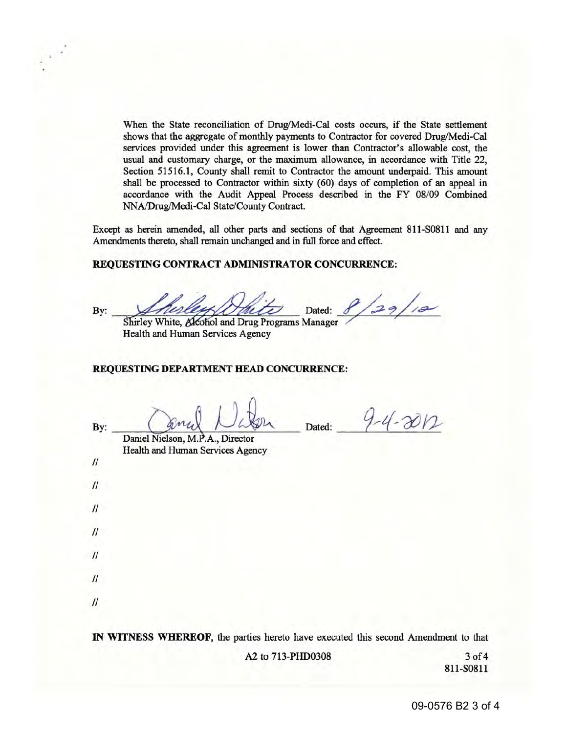When the State reconciliation of Drug/Medi-Cal costs occurs, if the State settlement shows that the aggregate of monthly payments to Contractor for covered Drug/Medi-Cal services provided under this agreement is lower than Contractor's allowable cost, the usual and customary charge, or the maximum allowance, in accordance with Title 22, Section 51516.1, County shall remit to Contractor the amount underpaid. This amount shall be processed to Contractor within sixty (60) days of completion of an appeal in accordance with the Audit Appeal Process described in the FY 08/09 Combined NNA/Drug/Medi-Cal State/County Contract.

Except as herein amended, all other parts and sections of that Agreement 811-S0811 and any Amendments thereto, shall remain unchanged and in full force and effect.

### **REQUESTING CONTRACT ADMINISTRATOR CONCURRENCE:**

 $29/12$ By: *Arince Hill Dated:* 

Shirley White, Alcohol and Drug Programs Manager Health and Human Services Agency

#### **REQUESTING DEPARTMENT HEAD CONCURRENCE:**

 $\mathcal{U}$ 

 $\mathcal{U}$ 

 $\prime$ 

 $\mathcal{U}$ 

II

 $\prime$ 

 $\mathcal{U}$ 

By: Canal Nation Dated:  $4-4-2012$ 

Daniel Nielson, M.P.A., Director Health and Human Services Agency

IN **WITNESS WHEREOF,** the parties hereto have executed this second Amendment to that

A2 to 713-PHD0308 3 of 4

811-50811